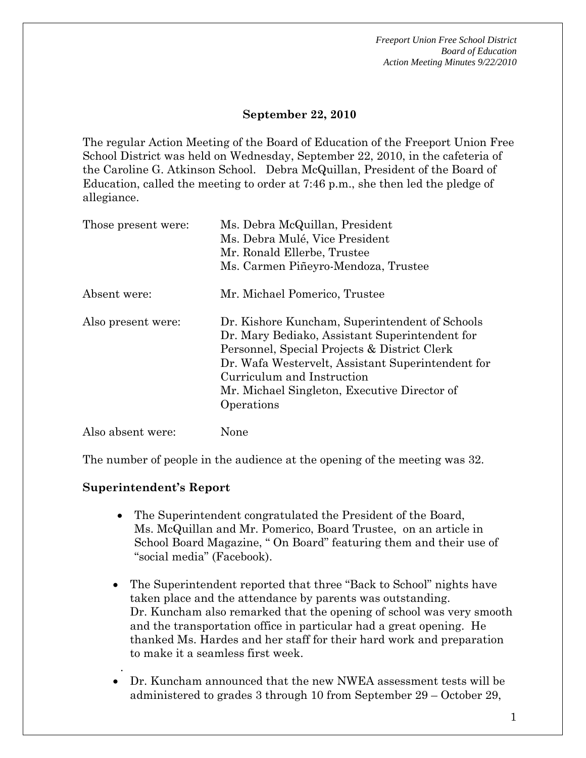#### **September 22, 2010**

The regular Action Meeting of the Board of Education of the Freeport Union Free School District was held on Wednesday, September 22, 2010, in the cafeteria of the Caroline G. Atkinson School. Debra McQuillan, President of the Board of Education, called the meeting to order at 7:46 p.m., she then led the pledge of allegiance.

| Those present were: | Ms. Debra McQuillan, President<br>Ms. Debra Mulé, Vice President<br>Mr. Ronald Ellerbe, Trustee<br>Ms. Carmen Piñeyro-Mendoza, Trustee                                                                                                                                                            |
|---------------------|---------------------------------------------------------------------------------------------------------------------------------------------------------------------------------------------------------------------------------------------------------------------------------------------------|
| Absent were:        | Mr. Michael Pomerico, Trustee                                                                                                                                                                                                                                                                     |
| Also present were:  | Dr. Kishore Kuncham, Superintendent of Schools<br>Dr. Mary Bediako, Assistant Superintendent for<br>Personnel, Special Projects & District Clerk<br>Dr. Wafa Westervelt, Assistant Superintendent for<br>Curriculum and Instruction<br>Mr. Michael Singleton, Executive Director of<br>Operations |
| Also absent were:   | None                                                                                                                                                                                                                                                                                              |

The number of people in the audience at the opening of the meeting was 32.

#### **Superintendent's Report**

.

- The Superintendent congratulated the President of the Board, Ms. McQuillan and Mr. Pomerico, Board Trustee, on an article in School Board Magazine, " On Board" featuring them and their use of "social media" (Facebook).
- The Superintendent reported that three "Back to School" nights have taken place and the attendance by parents was outstanding. Dr. Kuncham also remarked that the opening of school was very smooth and the transportation office in particular had a great opening. He thanked Ms. Hardes and her staff for their hard work and preparation to make it a seamless first week.
- Dr. Kuncham announced that the new NWEA assessment tests will be administered to grades 3 through 10 from September 29 – October 29,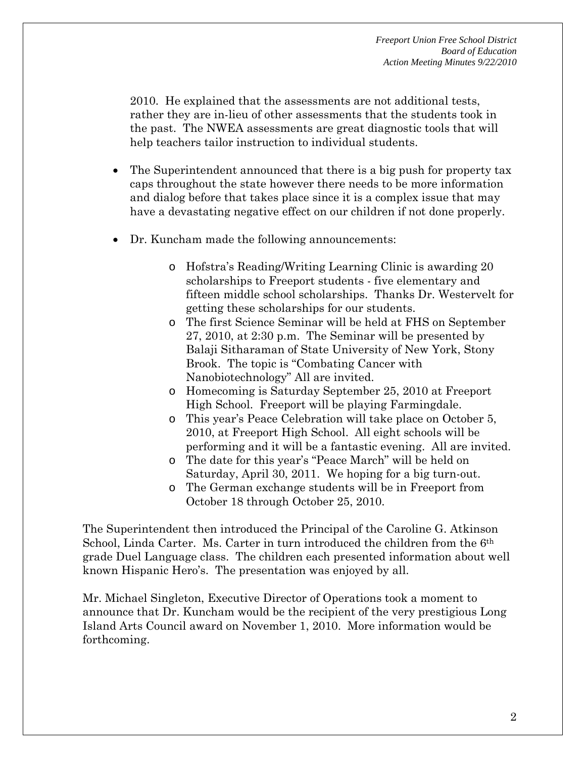2010. He explained that the assessments are not additional tests, rather they are in-lieu of other assessments that the students took in the past. The NWEA assessments are great diagnostic tools that will help teachers tailor instruction to individual students.

- The Superintendent announced that there is a big push for property tax caps throughout the state however there needs to be more information and dialog before that takes place since it is a complex issue that may have a devastating negative effect on our children if not done properly.
- Dr. Kuncham made the following announcements:
	- o Hofstra's Reading/Writing Learning Clinic is awarding 20 scholarships to Freeport students - five elementary and fifteen middle school scholarships. Thanks Dr. Westervelt for getting these scholarships for our students.
	- o The first Science Seminar will be held at FHS on September 27, 2010, at 2:30 p.m. The Seminar will be presented by Balaji Sitharaman of State University of New York, Stony Brook. The topic is "Combating Cancer with Nanobiotechnology" All are invited.
	- o Homecoming is Saturday September 25, 2010 at Freeport High School. Freeport will be playing Farmingdale.
	- o This year's Peace Celebration will take place on October 5, 2010, at Freeport High School. All eight schools will be performing and it will be a fantastic evening. All are invited.
	- o The date for this year's "Peace March" will be held on Saturday, April 30, 2011. We hoping for a big turn-out.
	- o The German exchange students will be in Freeport from October 18 through October 25, 2010.

The Superintendent then introduced the Principal of the Caroline G. Atkinson School, Linda Carter. Ms. Carter in turn introduced the children from the 6th grade Duel Language class. The children each presented information about well known Hispanic Hero's. The presentation was enjoyed by all.

Mr. Michael Singleton, Executive Director of Operations took a moment to announce that Dr. Kuncham would be the recipient of the very prestigious Long Island Arts Council award on November 1, 2010. More information would be forthcoming.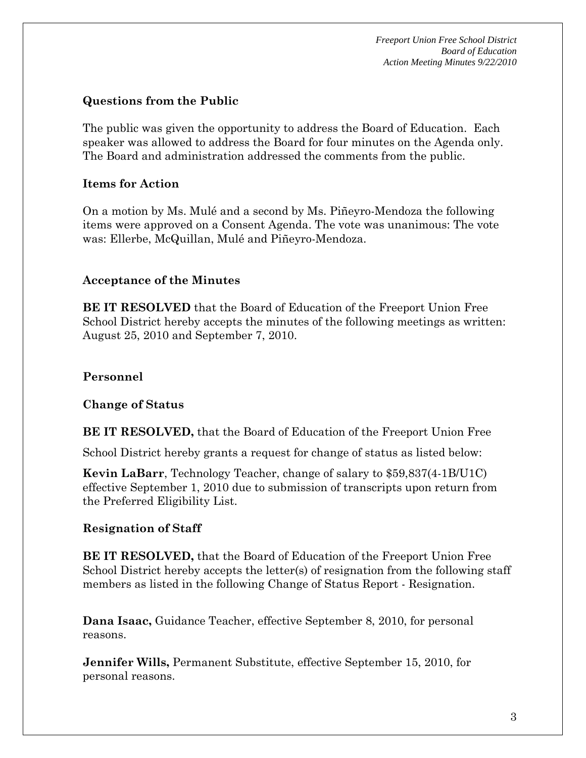### **Questions from the Public**

The public was given the opportunity to address the Board of Education. Each speaker was allowed to address the Board for four minutes on the Agenda only. The Board and administration addressed the comments from the public.

### **Items for Action**

On a motion by Ms. Mulé and a second by Ms. Piñeyro-Mendoza the following items were approved on a Consent Agenda. The vote was unanimous: The vote was: Ellerbe, McQuillan, Mulé and Piñeyro-Mendoza.

### **Acceptance of the Minutes**

**BE IT RESOLVED** that the Board of Education of the Freeport Union Free School District hereby accepts the minutes of the following meetings as written: August 25, 2010 and September 7, 2010.

### **Personnel**

#### **Change of Status**

**BE IT RESOLVED,** that the Board of Education of the Freeport Union Free

School District hereby grants a request for change of status as listed below:

**Kevin LaBarr**, Technology Teacher, change of salary to \$59,837(4-1B/U1C) effective September 1, 2010 due to submission of transcripts upon return from the Preferred Eligibility List.

## **Resignation of Staff**

**BE IT RESOLVED,** that the Board of Education of the Freeport Union Free School District hereby accepts the letter(s) of resignation from the following staff members as listed in the following Change of Status Report - Resignation.

**Dana Isaac,** Guidance Teacher, effective September 8, 2010, for personal reasons.

**Jennifer Wills,** Permanent Substitute, effective September 15, 2010, for personal reasons.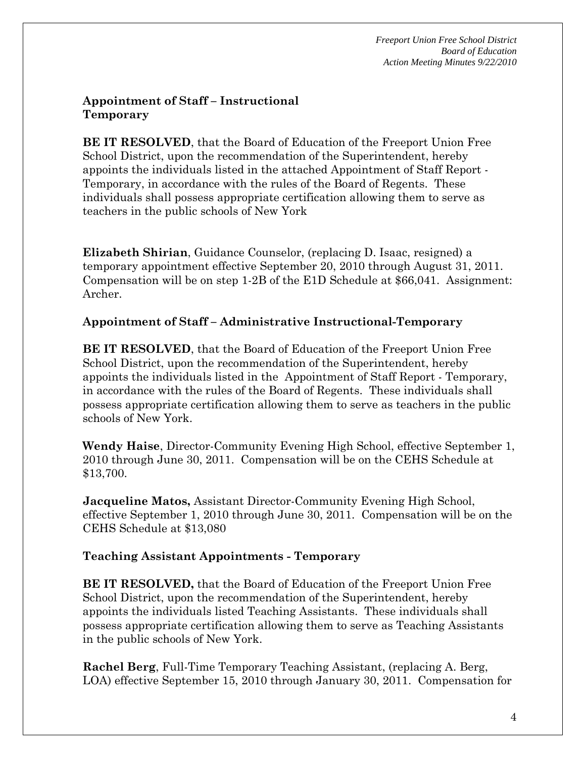### **Appointment of Staff – Instructional Temporary**

**BE IT RESOLVED**, that the Board of Education of the Freeport Union Free School District, upon the recommendation of the Superintendent, hereby appoints the individuals listed in the attached Appointment of Staff Report - Temporary, in accordance with the rules of the Board of Regents. These individuals shall possess appropriate certification allowing them to serve as teachers in the public schools of New York

**Elizabeth Shirian**, Guidance Counselor, (replacing D. Isaac, resigned) a temporary appointment effective September 20, 2010 through August 31, 2011. Compensation will be on step 1-2B of the E1D Schedule at \$66,041. Assignment: Archer.

## **Appointment of Staff – Administrative Instructional-Temporary**

**BE IT RESOLVED**, that the Board of Education of the Freeport Union Free School District, upon the recommendation of the Superintendent, hereby appoints the individuals listed in the Appointment of Staff Report - Temporary, in accordance with the rules of the Board of Regents. These individuals shall possess appropriate certification allowing them to serve as teachers in the public schools of New York.

**Wendy Haise**, Director-Community Evening High School, effective September 1, 2010 through June 30, 2011. Compensation will be on the CEHS Schedule at \$13,700.

**Jacqueline Matos,** Assistant Director-Community Evening High School, effective September 1, 2010 through June 30, 2011. Compensation will be on the CEHS Schedule at \$13,080

# **Teaching Assistant Appointments - Temporary**

**BE IT RESOLVED,** that the Board of Education of the Freeport Union Free School District, upon the recommendation of the Superintendent, hereby appoints the individuals listed Teaching Assistants. These individuals shall possess appropriate certification allowing them to serve as Teaching Assistants in the public schools of New York.

**Rachel Berg**, Full-Time Temporary Teaching Assistant, (replacing A. Berg, LOA) effective September 15, 2010 through January 30, 2011. Compensation for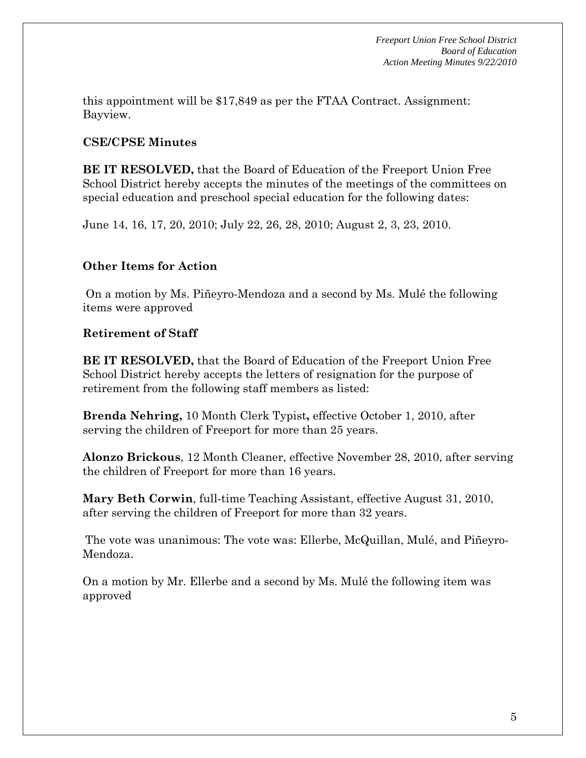this appointment will be \$17,849 as per the FTAA Contract. Assignment: Bayview.

## **CSE/CPSE Minutes**

**BE IT RESOLVED,** that the Board of Education of the Freeport Union Free School District hereby accepts the minutes of the meetings of the committees on special education and preschool special education for the following dates:

June 14, 16, 17, 20, 2010; July 22, 26, 28, 2010; August 2, 3, 23, 2010.

## **Other Items for Action**

 On a motion by Ms. Piñeyro-Mendoza and a second by Ms. Mulé the following items were approved

## **Retirement of Staff**

**BE IT RESOLVED,** that the Board of Education of the Freeport Union Free School District hereby accepts the letters of resignation for the purpose of retirement from the following staff members as listed:

**Brenda Nehring,** 10 Month Clerk Typist**,** effective October 1, 2010, after serving the children of Freeport for more than 25 years.

**Alonzo Brickous**, 12 Month Cleaner, effective November 28, 2010, after serving the children of Freeport for more than 16 years.

**Mary Beth Corwin**, full-time Teaching Assistant, effective August 31, 2010, after serving the children of Freeport for more than 32 years.

The vote was unanimous: The vote was: Ellerbe, McQuillan, Mulé, and Piñeyro-Mendoza.

On a motion by Mr. Ellerbe and a second by Ms. Mulé the following item was approved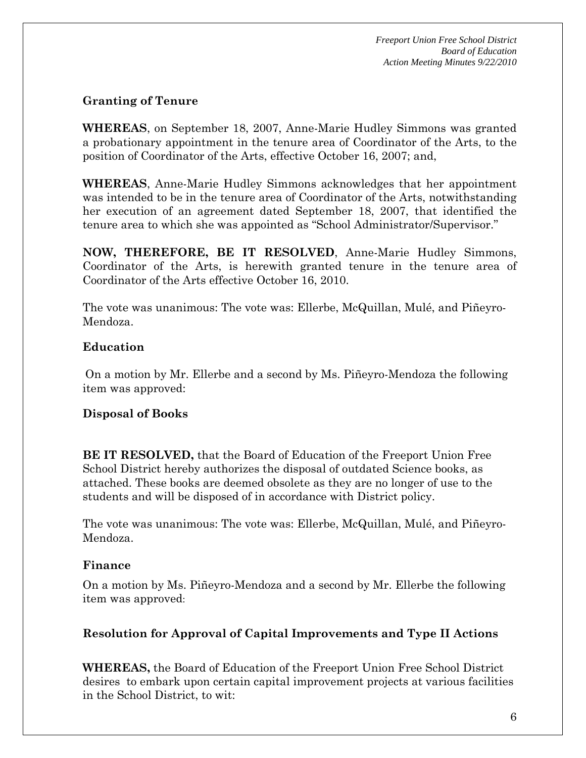### **Granting of Tenure**

**WHEREAS**, on September 18, 2007, Anne-Marie Hudley Simmons was granted a probationary appointment in the tenure area of Coordinator of the Arts, to the position of Coordinator of the Arts, effective October 16, 2007; and,

**WHEREAS**, Anne-Marie Hudley Simmons acknowledges that her appointment was intended to be in the tenure area of Coordinator of the Arts, notwithstanding her execution of an agreement dated September 18, 2007, that identified the tenure area to which she was appointed as "School Administrator/Supervisor."

**NOW, THEREFORE, BE IT RESOLVED**, Anne-Marie Hudley Simmons, Coordinator of the Arts, is herewith granted tenure in the tenure area of Coordinator of the Arts effective October 16, 2010.

The vote was unanimous: The vote was: Ellerbe, McQuillan, Mulé, and Piñeyro-Mendoza.

## **Education**

On a motion by Mr. Ellerbe and a second by Ms. Piñeyro-Mendoza the following item was approved:

#### **Disposal of Books**

**BE IT RESOLVED,** that the Board of Education of the Freeport Union Free School District hereby authorizes the disposal of outdated Science books, as attached. These books are deemed obsolete as they are no longer of use to the students and will be disposed of in accordance with District policy.

The vote was unanimous: The vote was: Ellerbe, McQuillan, Mulé, and Piñeyro-Mendoza.

#### **Finance**

On a motion by Ms. Piñeyro-Mendoza and a second by Mr. Ellerbe the following item was approved:

## **Resolution for Approval of Capital Improvements and Type II Actions**

**WHEREAS,** the Board of Education of the Freeport Union Free School District desires to embark upon certain capital improvement projects at various facilities in the School District, to wit: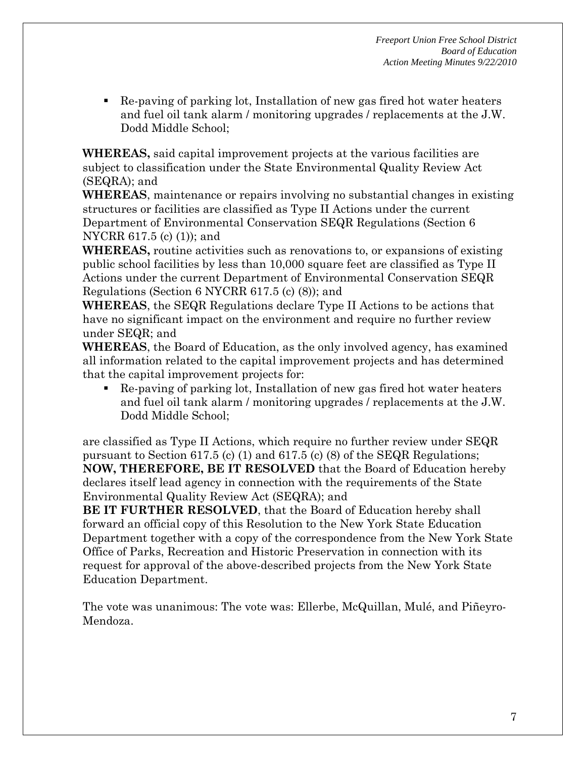Re-paving of parking lot, Installation of new gas fired hot water heaters and fuel oil tank alarm / monitoring upgrades / replacements at the J.W. Dodd Middle School;

**WHEREAS,** said capital improvement projects at the various facilities are subject to classification under the State Environmental Quality Review Act (SEQRA); and

**WHEREAS**, maintenance or repairs involving no substantial changes in existing structures or facilities are classified as Type II Actions under the current Department of Environmental Conservation SEQR Regulations (Section 6 NYCRR 617.5 (c) (1)); and

**WHEREAS,** routine activities such as renovations to, or expansions of existing public school facilities by less than 10,000 square feet are classified as Type II Actions under the current Department of Environmental Conservation SEQR Regulations (Section 6 NYCRR 617.5 (c) (8)); and

**WHEREAS**, the SEQR Regulations declare Type II Actions to be actions that have no significant impact on the environment and require no further review under SEQR; and

**WHEREAS**, the Board of Education, as the only involved agency, has examined all information related to the capital improvement projects and has determined that the capital improvement projects for:

 Re-paving of parking lot, Installation of new gas fired hot water heaters and fuel oil tank alarm / monitoring upgrades / replacements at the J.W. Dodd Middle School;

are classified as Type II Actions, which require no further review under SEQR pursuant to Section 617.5 (c) (1) and 617.5 (c) (8) of the SEQR Regulations; **NOW, THEREFORE, BE IT RESOLVED** that the Board of Education hereby declares itself lead agency in connection with the requirements of the State Environmental Quality Review Act (SEQRA); and

**BE IT FURTHER RESOLVED**, that the Board of Education hereby shall forward an official copy of this Resolution to the New York State Education Department together with a copy of the correspondence from the New York State Office of Parks, Recreation and Historic Preservation in connection with its request for approval of the above-described projects from the New York State Education Department.

The vote was unanimous: The vote was: Ellerbe, McQuillan, Mulé, and Piñeyro-Mendoza.